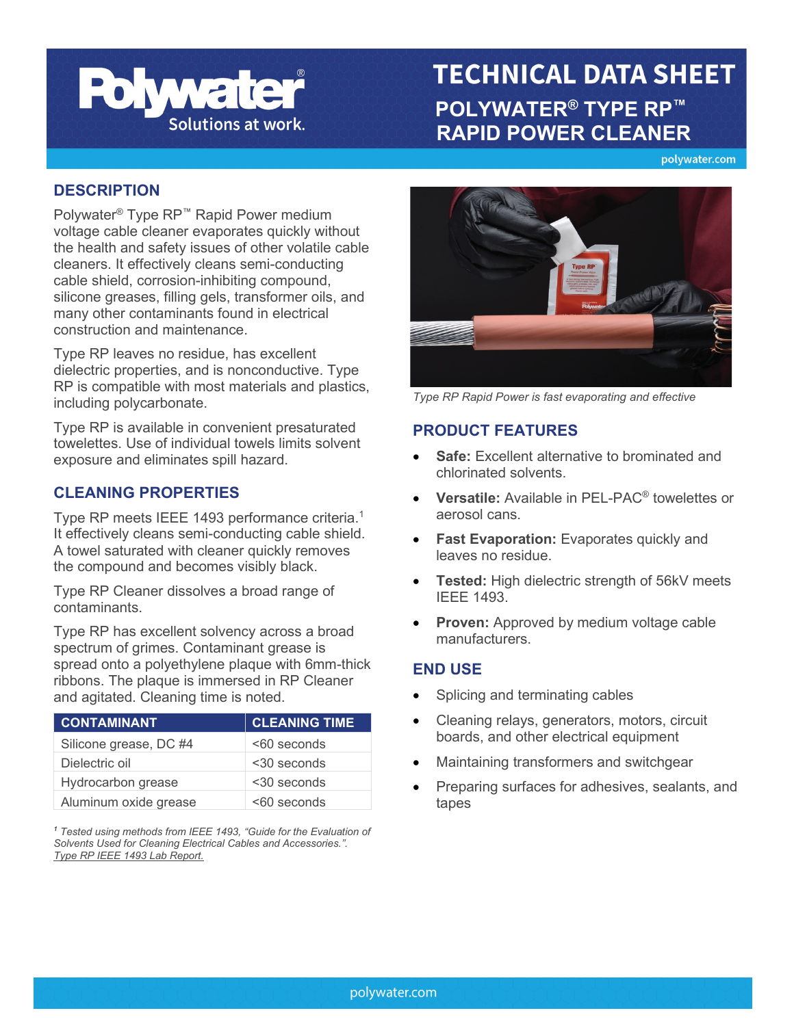

# **TECHNICAL DATA SHEET POLYWATER®** TYPE RP™<br>Solutions at work. PARID BOWER OLEANER  **RAPID POWER CLEANER**

polywater.com

#### **DESCRIPTION**

Polywater® Type RP™ Rapid Power medium voltage cable cleaner evaporates quickly without the health and safety issues of other volatile cable cleaners. It effectively cleans semi-conducting cable shield, corrosion-inhibiting compound, silicone greases, filling gels, transformer oils, and many other contaminants found in electrical construction and maintenance.

Type RP leaves no residue, has excellent dielectric properties, and is nonconductive. Type RP is compatible with most materials and plastics, including polycarbonate.

Type RP is available in convenient presaturated towelettes. Use of individual towels limits solvent exposure and eliminates spill hazard.

### **CLEANING PROPERTIES**

Type RP meets IEEE 1493 performance criteria. 1 It effectively cleans semi-conducting cable shield. A towel saturated with cleaner quickly removes the compound and becomes visibly black.

Type RP Cleaner dissolves a broad range of contaminants.

Type RP has excellent solvency across a broad spectrum of grimes. Contaminant grease is spread onto a polyethylene plaque with 6mm-thick ribbons. The plaque is immersed in RP Cleaner and agitated. Cleaning time is noted.

| <b>CONTAMINANT</b>     | <b>CLEANING TIME</b> |
|------------------------|----------------------|
| Silicone grease, DC #4 | <60 seconds          |
| Dielectric oil         | $<$ 30 seconds       |
| Hydrocarbon grease     | <30 seconds          |
| Aluminum oxide grease  | $< 60$ seconds       |

*<sup>1</sup> Tested using methods from IEEE 1493, "Guide for the Evaluation of Solvents Used for Cleaning Electrical Cables and Accessories.". [Type RP IEEE 1493 Lab Report.](https://www.polywater.com/wp-content/uploads/pdf/RP-Rapid-Power-IEEE.pdf)*



*Type RP Rapid Power is fast evaporating and effective*

### **PRODUCT FEATURES**

- **Safe:** Excellent alternative to brominated and chlorinated solvents.
- **Versatile:** Available in PEL-PAC® towelettes or aerosol cans.
- **Fast Evaporation:** Evaporates quickly and leaves no residue.
- **Tested:** High dielectric strength of 56kV meets IEEE 1493.
- **Proven:** Approved by medium voltage cable manufacturers.

### **END USE**

- Splicing and terminating cables
- Cleaning relays, generators, motors, circuit boards, and other electrical equipment
- Maintaining transformers and switchgear
- Preparing surfaces for adhesives, sealants, and tapes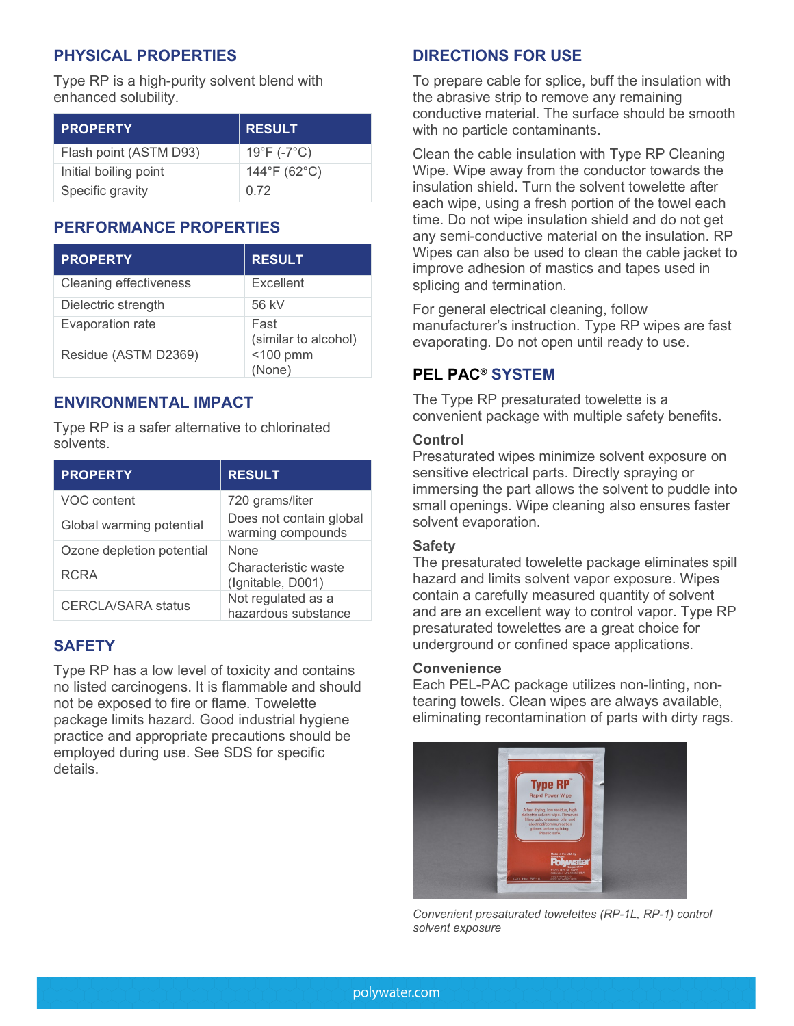# **PHYSICAL PROPERTIES**

Type RP is a high-purity solvent blend with enhanced solubility.

| <b>PROPERTY</b>        | <b>RESULT</b>               |
|------------------------|-----------------------------|
| Flash point (ASTM D93) | $19^{\circ}F (-7^{\circ}C)$ |
| Initial boiling point  | 144°F (62°C)                |
| Specific gravity       | 0.72                        |

### **PERFORMANCE PROPERTIES**

| <b>PROPERTY</b>               | <b>RESULT</b>                |
|-------------------------------|------------------------------|
| <b>Cleaning effectiveness</b> | Excellent                    |
| Dielectric strength           | 56 kV                        |
| Evaporation rate              | Fast<br>(similar to alcohol) |
| Residue (ASTM D2369)          | $<$ 100 pmm<br>(None)        |

### **ENVIRONMENTAL IMPACT**

Type RP is a safer alternative to chlorinated solvents.

| <b>PROPERTY</b>           | <b>RESULT</b>                                |
|---------------------------|----------------------------------------------|
| VOC content               | 720 grams/liter                              |
| Global warming potential  | Does not contain global<br>warming compounds |
| Ozone depletion potential | None                                         |
| <b>RCRA</b>               | Characteristic waste<br>(Ignitable, D001)    |
| <b>CERCLA/SARA status</b> | Not regulated as a<br>hazardous substance    |

### **SAFETY**

Type RP has a low level of toxicity and contains no listed carcinogens. It is flammable and should not be exposed to fire or flame. Towelette package limits hazard. Good industrial hygiene practice and appropriate precautions should be employed during use. See SDS for specific details.

### **DIRECTIONS FOR USE**

To prepare cable for splice, buff the insulation with the abrasive strip to remove any remaining conductive material. The surface should be smooth with no particle contaminants.

Clean the cable insulation with Type RP Cleaning Wipe. Wipe away from the conductor towards the insulation shield. Turn the solvent towelette after each wipe, using a fresh portion of the towel each time. Do not wipe insulation shield and do not get any semi-conductive material on the insulation. RP Wipes can also be used to clean the cable jacket to improve adhesion of mastics and tapes used in splicing and termination.

For general electrical cleaning, follow manufacturer's instruction. Type RP wipes are fast evaporating. Do not open until ready to use.

# **PEL PAC® SYSTEM**

The Type RP presaturated towelette is a convenient package with multiple safety benefits.

#### **Control**

Presaturated wipes minimize solvent exposure on sensitive electrical parts. Directly spraying or immersing the part allows the solvent to puddle into small openings. Wipe cleaning also ensures faster solvent evaporation.

#### **Safety**

The presaturated towelette package eliminates spill hazard and limits solvent vapor exposure. Wipes contain a carefully measured quantity of solvent and are an excellent way to control vapor. Type RP presaturated towelettes are a great choice for underground or confined space applications.

#### **Convenience**

Each PEL-PAC package utilizes non-linting, nontearing towels. Clean wipes are always available, eliminating recontamination of parts with dirty rags.



*Convenient presaturated towelettes (RP-1L, RP-1) control solvent exposure*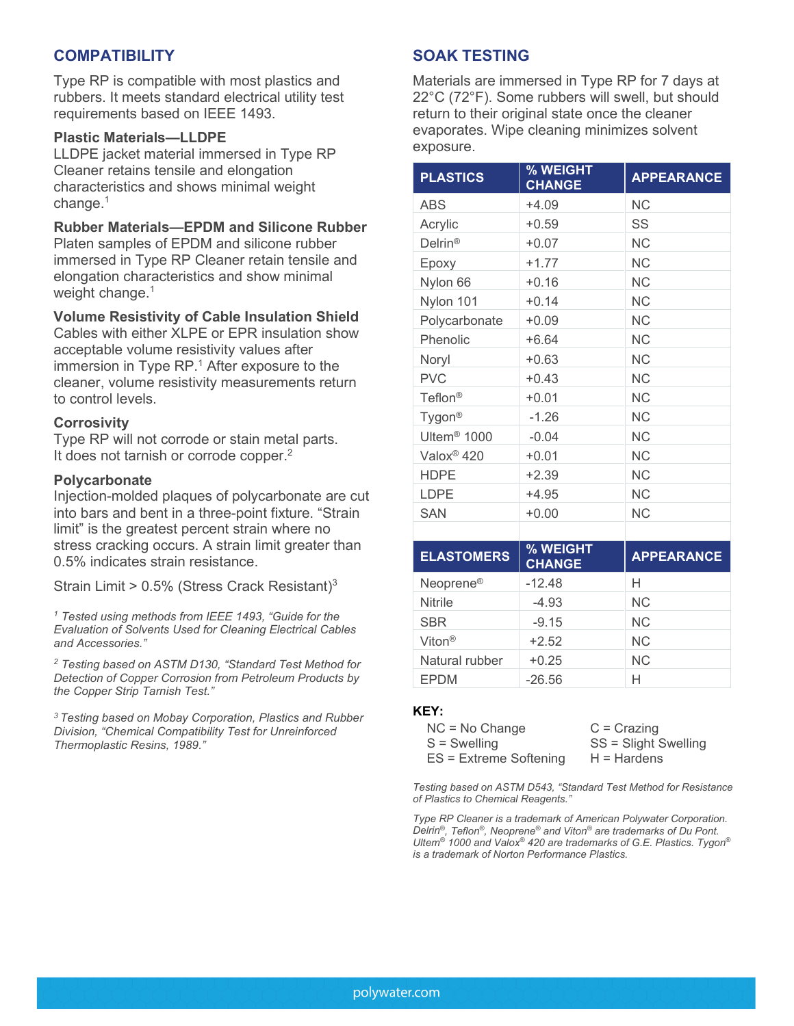### **COMPATIBILITY**

Type RP is compatible with most plastics and rubbers. It meets standard electrical utility test requirements based on IEEE 1493.

#### **Plastic Materials—LLDPE**

LLDPE jacket material immersed in Type RP Cleaner retains tensile and elongation characteristics and shows minimal weight change. 1

#### **Rubber Materials—EPDM and Silicone Rubber**

Platen samples of EPDM and silicone rubber immersed in Type RP Cleaner retain tensile and elongation characteristics and show minimal weight change. 1

#### **Volume Resistivity of Cable Insulation Shield**

Cables with either XLPF or FPR insulation show acceptable volume resistivity values after immersion in Type RP. <sup>1</sup> After exposure to the cleaner, volume resistivity measurements return to control levels.

#### **Corrosivity**

Type RP will not corrode or stain metal parts. It does not tarnish or corrode copper.<sup>2</sup>

#### **Polycarbonate**

Injection-molded plaques of polycarbonate are cut into bars and bent in a three-point fixture. "Strain limit" is the greatest percent strain where no stress cracking occurs. A strain limit greater than 0.5% indicates strain resistance.

Strain Limit > 0.5% (Stress Crack Resistant)3

*<sup>1</sup> Tested using methods from IEEE 1493, "Guide for the Evaluation of Solvents Used for Cleaning Electrical Cables and Accessories."*

*<sup>2</sup> Testing based on ASTM D130, "Standard Test Method for Detection of Copper Corrosion from Petroleum Products by the Copper Strip Tarnish Test."*

*3 Testing based on Mobay Corporation, Plastics and Rubber Division, "Chemical Compatibility Test for Unreinforced Thermoplastic Resins, 1989."*

### **SOAK TESTING**

Materials are immersed in Type RP for 7 days at 22°C (72°F). Some rubbers will swell, but should return to their original state once the cleaner evaporates. Wipe cleaning minimizes solvent exposure.

| <b>PLASTICS</b>         | % WEIGHT<br><b>CHANGE</b> | <b>APPEARANCE</b> |
|-------------------------|---------------------------|-------------------|
| ABS                     | +4.09                     | NС                |
| Acrylic                 | $+0.59$                   | SS                |
| $Delrin^{\circledR}$    | $+0.07$                   | NС                |
| Epoxy                   | $+1.77$                   | <b>NC</b>         |
| Nylon 66                | $+0.16$                   | NС                |
| Nylon 101               | $+0.14$                   | NС                |
| Polycarbonate           | $+0.09$                   | NС                |
| Phenolic                | $+6.64$                   | NС                |
| Noryl                   | $+0.63$                   | <b>NC</b>         |
| <b>PVC</b>              | $+0.43$                   | NС                |
| Teflon <sup>®</sup>     | $+0.01$                   | NС                |
| Tygon <sup>®</sup>      | $-1.26$                   | NС                |
| Ultem <sup>®</sup> 1000 | $-0.04$                   | NС                |
| Valox <sup>®</sup> 420  | $+0.01$                   | <b>NC</b>         |
| <b>HDPE</b>             | $+2.39$                   | NС                |
| <b>LDPE</b>             | $+4.95$                   | NС                |
| <b>SAN</b>              | $+0.00$                   | <b>NC</b>         |
|                         |                           |                   |

| <b>ELASTOMERS</b>     | % WEIGHT<br><b>CHANGE</b> | <b>APPEARANCE</b> |
|-----------------------|---------------------------|-------------------|
| Neoprene <sup>®</sup> | $-12.48$                  | н                 |
| <b>Nitrile</b>        | $-4.93$                   | <b>NC</b>         |
| <b>SBR</b>            | $-9.15$                   | N <sub>C</sub>    |
| Viton <sup>®</sup>    | $+2.52$                   | <b>NC</b>         |
| Natural rubber        | $+0.25$                   | <b>NC</b>         |
| <b>EPDM</b>           | $-26.56$                  | н                 |

#### **KEY:**

| $NC = No Change$         | $C = Crazinq$        |
|--------------------------|----------------------|
| $S =$ Swelling           | SS = Slight Swelling |
| $ES =$ Extreme Softening | $H = Hardens$        |

*Testing based on ASTM D543, "Standard Test Method for Resistance of Plastics to Chemical Reagents."*

*Type RP Cleaner is a trademark of American Polywater Corporation. Delrin®, Teflon®, Neoprene® and Viton® are trademarks of Du Pont. Ultem® 1000 and Valox® 420 are trademarks of G.E. Plastics. Tygon® is a trademark of Norton Performance Plastics.*